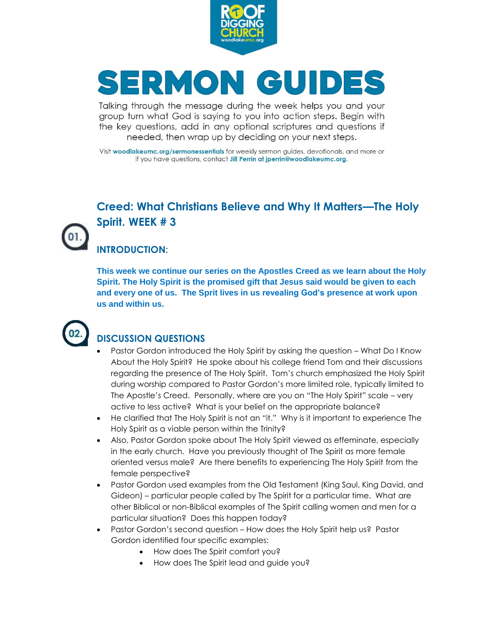

# SERMON GUIDES

Talking through the message during the week helps you and your group turn what God is saying to you into action steps. Begin with the key questions, add in any optional scriptures and questions if needed, then wrap up by deciding on your next steps.

Visit woodlakeumc.org/sermonessentials for weekly sermon guides, devotionals, and more or if you have questions, contact Jill Perrin at jperrin@woodlakeumc.org.

### **Creed: What Christians Believe and Why It Matters—The Holy Spirit. WEEK # 3**

#### **INTRODUCTION**:

**This week we continue our series on the Apostles Creed as we learn about the Holy Spirit. The Holy Spirit is the promised gift that Jesus said would be given to each and every one of us. The Sprit lives in us revealing God's presence at work upon us and within us.**



#### **DISCUSSION QUESTIONS**

- Pastor Gordon introduced the Holy Spirit by asking the question What Do I Know About the Holy Spirit? He spoke about his college friend Tom and their discussions regarding the presence of The Holy Spirit. Tom's church emphasized the Holy Spirit during worship compared to Pastor Gordon's more limited role, typically limited to The Apostle's Creed. Personally, where are you on "The Holy Spirit" scale – very active to less active? What is your belief on the appropriate balance?
- He clarified that The Holy Spirit is not an "it." Why is it important to experience The Holy Spirit as a viable person within the Trinity?
- Also, Pastor Gordon spoke about The Holy Spirit viewed as effeminate, especially in the early church. Have you previously thought of The Spirit as more female oriented versus male? Are there benefits to experiencing The Holy Spirit from the female perspective?
- Pastor Gordon used examples from the Old Testament (King Saul, King David, and Gideon) – particular people called by The Spirit for a particular time. What are other Biblical or non-Biblical examples of The Spirit calling women and men for a particular situation? Does this happen today?
- Pastor Gordon's second question How does the Holy Spirit help us? Pastor Gordon identified four specific examples:
	- How does The Spirit comfort you?
	- How does The Spirit lead and guide you?